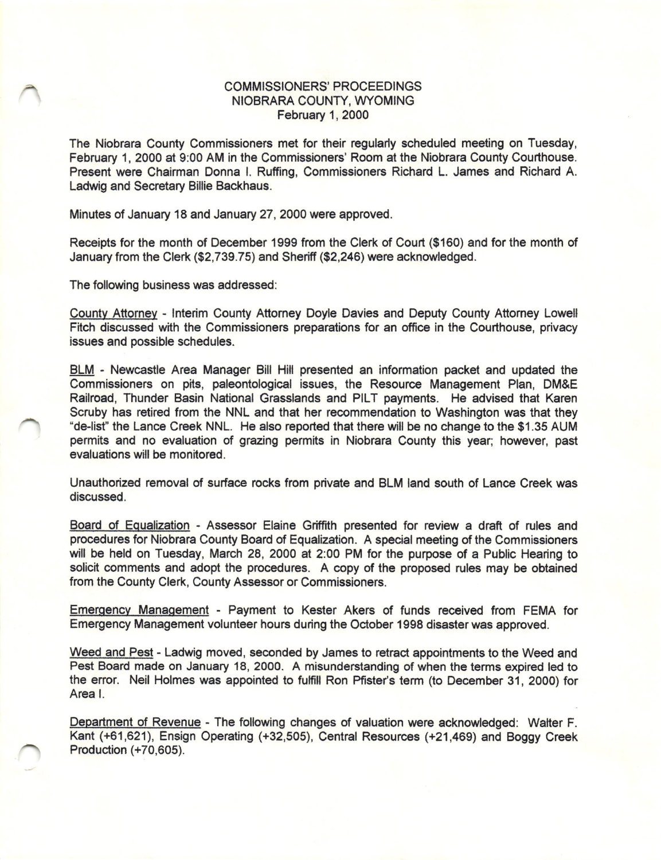## COMMISSIONERS' PROCEEDINGS NIOBRARA COUNTY, WYOMING February 1, 2000

The Niobrara County Commissioners met for their regularly scheduled meeting on Tuesday, February 1, 2000 at 9:00 AM in the Commissioners' Room at the Niobrara County Courthouse. Present were Chairman Donna l. Rufiing, Commissioners Richard L. James and Richard A. Ladwig and Secretary Billie Backhaus.

Minutes of January 18 and January 27, 2000 were approved.

Receipts for the month of December 1999 from the Clerk of Court (\$160) and for the month of January from the Clerk (\$2,739.75) and Sheriff (\$2,246) were acknowledged.

The following business was addressed:

Countv Attornev - lnterim County Attorney Doyle Davies and Deputy County Attorney Lowell Fiich discussed with the Commissioners preparations for an office in the Courthouse, privacy issues and possible schedules.

BLM - Newcastle Area Manager Bill Hill presented an information packet and updated the Commissioners on pits, paleontological issues, the Resource Management Plan, DM&E Railroad, Thunder Basin National Grasslands and PILT payments. He advised that Karen Scruby has retired from the NNL and that her recommendation to Washington was that they "de-list" the Lance Creek NNL. He also reportod that there will be no change to the \$1.35 AUM permits and no evaluation of grazing permits in Niobrara County this year; however, past evaluations will be monitored.

Unauthorized removal of surface rocks from private and BLM land south of Lance Creek was discussed.

Board of Equalization - Assessor Elaine Griffith presented for review a draft of rules and procedures for Niobrara County Board of Equalization. A special meeting of the Commissioners will be held on Tuesday, March 28, 2000 at 2:00 PM for the purpose of a Public Hearing to solicit comments and adopt the procedures. A copy of the proposed rules may be obtained from the County Clerk, County Assessor or Commissioners.

Emergency Management - Payment to Kester Akers of funds received from FEMA for Emergency Management volunteer hours during the Oclober 1998 disaster was approved.

Weed and Pest - Ladwig moved, seconded by James to retract appointments to the Weed and Pest Board made on January 18, 2000. A misunderstanding of when the terms expired led to the error. Neil Holmes was appointed to fulfill Ron Pfister's term (to December 31, 2000) for Area L

Department of Revenue - The following changes of valuation were acknowledged: Walter F. Kant (+61,621), Ensign Operating (+32,505), Central Resources (+21,469) and Boggy Creek Production (+70,605).